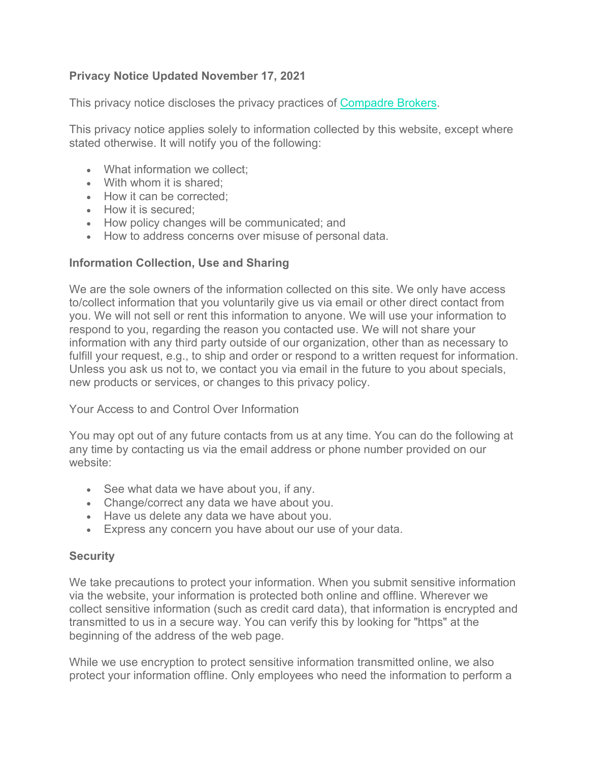## **Privacy Notice Updated November 17, 2021**

This privacy notice discloses the privacy practices of [Compadre Brokers.](http://www.compadrebrokers.com/)

This privacy notice applies solely to information collected by this website, except where stated otherwise. It will notify you of the following:

- What information we collect;
- With whom it is shared;
- How it can be corrected;
- How it is secured:
- How policy changes will be communicated; and
- How to address concerns over misuse of personal data.

## **Information Collection, Use and Sharing**

We are the sole owners of the information collected on this site. We only have access to/collect information that you voluntarily give us via email or other direct contact from you. We will not sell or rent this information to anyone. We will use your information to respond to you, regarding the reason you contacted use. We will not share your information with any third party outside of our organization, other than as necessary to fulfill your request, e.g., to ship and order or respond to a written request for information. Unless you ask us not to, we contact you via email in the future to you about specials, new products or services, or changes to this privacy policy.

Your Access to and Control Over Information

You may opt out of any future contacts from us at any time. You can do the following at any time by contacting us via the email address or phone number provided on our website:

- See what data we have about you, if any.
- Change/correct any data we have about you.
- Have us delete any data we have about you.
- Express any concern you have about our use of your data.

## **Security**

We take precautions to protect your information. When you submit sensitive information via the website, your information is protected both online and offline. Wherever we collect sensitive information (such as credit card data), that information is encrypted and transmitted to us in a secure way. You can verify this by looking for "https" at the beginning of the address of the web page.

While we use encryption to protect sensitive information transmitted online, we also protect your information offline. Only employees who need the information to perform a